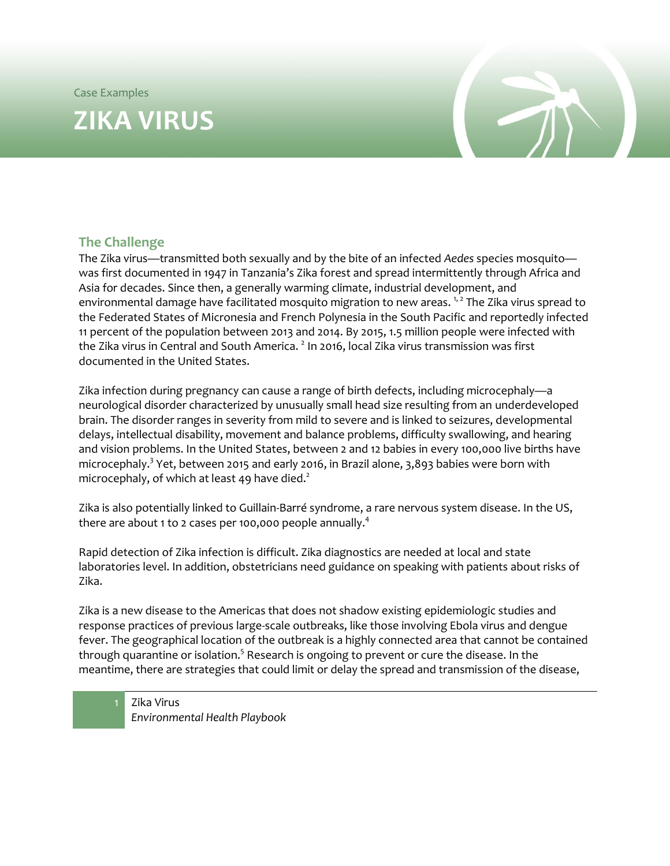Case Examples

# **ZIKA VIRUS**



# **The Challenge**

The Zika virus—transmitted both sexually and by the bite of an infected *Aedes* species mosquito was first documented in 1947 in Tanzania's Zika forest and spread intermittently through Africa and Asia for decades. Since then, a generally warming climate, industrial development, and environmental damage have facilitated mosquito migration to new areas. <sup>[1,](#page-3-0) [2](#page-3-1)</sup> The Zika virus spread to the Federated States of Micronesia and French Polynesia in the South Pacific and reportedly infected 11 percent of the population between 2013 and 2014. By 2015, 1.5 million people were infected with the Zika virus in Central and South America.  $^2$  $^2$  In 2016, local Zika virus transmission was first documented in the United States.

Zika infection during pregnancy can cause a range of birth defects, including microcephaly—a neurological disorder characterized by unusually small head size resulting from an underdeveloped brain. The disorder ranges in severity from mild to severe and is linked to seizures, developmental delays, intellectual disability, movement and balance problems, difficulty swallowing, and hearing and vision problems. In the United States, between 2 and 12 babies in every 100,000 live births have microcephaly[.](#page-3-2)<sup>3</sup> Yet, between 2015 and early 2016, in Brazil alone, 3,893 babies were born with microcephaly, of which at least 49 have die[d.](#page-3-1) $^2$ 

Zika is also potentially linked to Guillain-Barré syndrome, a rare nervous system disease. In the US, there are about 1 to 2 cases per 100,000 people annually. $^{\rm 4}$  $^{\rm 4}$  $^{\rm 4}$ 

Rapid detection of Zika infection is difficult. Zika diagnostics are needed at local and state laboratories level. In addition, obstetricians need guidance on speaking with patients about risks of Zika.

Zika is a new disease to the Americas that does not shadow existing epidemiologic studies and response practices of previous large-scale outbreaks, like those involving Ebola virus and dengue fever. The geographical location of the outbreak is a highly connected area that cannot be contained through quarantine or isolation. $^5$  $^5$  Research is ongoing to prevent or cure the disease. In the meantime, there are strategies that could limit or delay the spread and transmission of the disease,

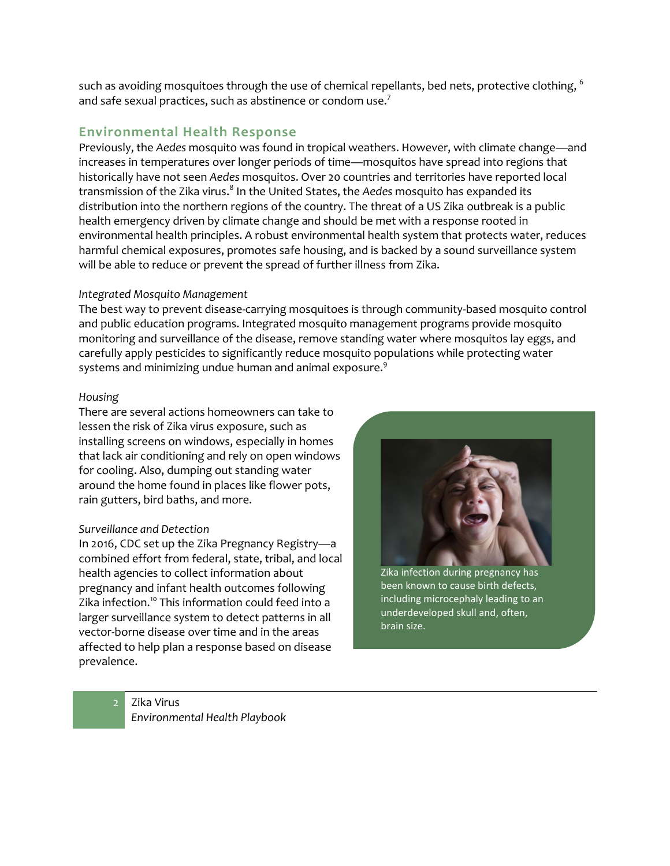such as avoiding mosquitoes through the use of chemical repellants, bed nets, protective clothing, <sup>[6](#page-3-5)</sup> and safe sexual practices, such as abstinence or condom use.<sup>[7](#page-3-6)</sup>

## **Environmental Health Response**

Previously, the *Aedes* mosquito was found in tropical weathers. However, with climate change—and increases in temperatures over longer periods of time—mosquitos have spread into regions that historically have not seen *Aedes* mosquitos. Over 20 countries and territories have reported local transmission of the Zika virus[.](#page-3-7) 8 In the United States, the *Aedes* mosquito has expanded its distribution into the northern regions of the country. The threat of a US Zika outbreak is a public health emergency driven by climate change and should be met with a response rooted in environmental health principles. A robust environmental health system that protects water, reduces harmful chemical exposures, promotes safe housing, and is backed by a sound surveillance system will be able to reduce or prevent the spread of further illness from Zika.

#### *Integrated Mosquito Management*

The best way to prevent disease-carrying mosquitoes is through community-based mosquito control and public education programs. Integrated mosquito management programs provide mosquito monitoring and surveillance of the disease, remove standing water where mosquitos lay eggs, and carefully apply pesticides to significantly reduce mosquito populations while protecting water systems and minimizing undue human and animal exposure. $^9$  $^9$ 

#### *Housing*

There are several actions homeowners can take to lessen the risk of Zika virus exposure, such as installing screens on windows, especially in homes that lack air conditioning and rely on open windows for cooling. Also, dumping out standing water around the home found in places like flower pots, rain gutters, bird baths, and more.

#### *Surveillance and Detection*

In 2016, CDC set up the Zika Pregnancy Registry—a combined effort from federal, state, tribal, and local health agencies to collect information about pregnancy and infant health outcomes following Zika infection.<sup>[10](#page-3-9)</sup> This information could feed into a larger surveillance system to detect patterns in all vector-borne disease over time and in the areas affected to help plan a response based on disease prevalence.



Zika infection during pregnancy has been known to cause birth defects, including microcephaly leading to an underdeveloped skull and, often, brain size.

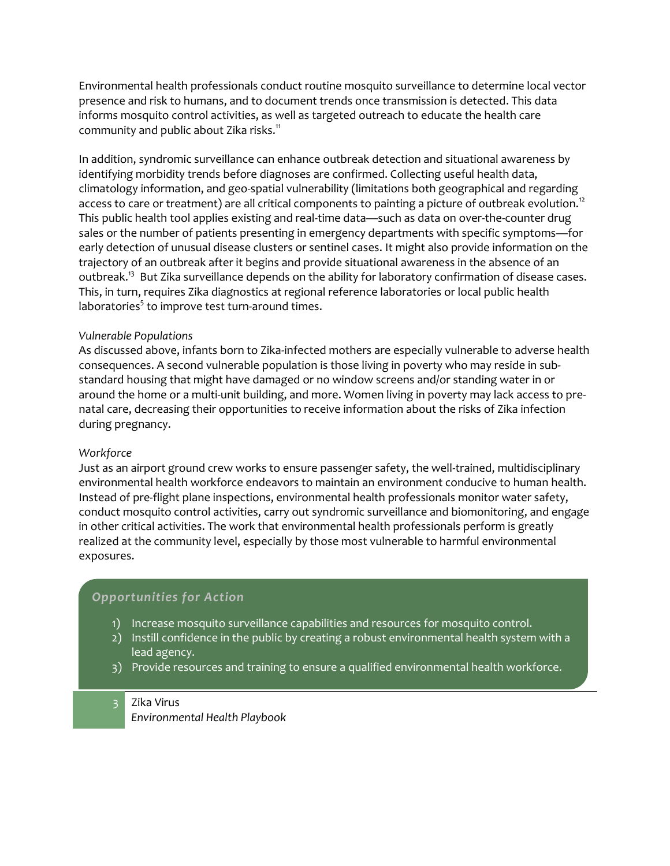Environmental health professionals conduct routine mosquito surveillance to determine local vector presence and risk to humans, and to document trends once transmission is detected. This data informs mosquito control activities, as well as targeted outreach to educate the health care community and public about Zika risks.<sup>[11](#page-3-10)</sup>

In addition, syndromic surveillance can enhance outbreak detection and situational awareness by identifying morbidity trends before diagnoses are confirmed. Collecting useful health data, climatology information, and geo-spatial vulnerability (limitations both geographical and regarding access to care or treatment) are all critical components to painting a picture of outbreak evolution.<sup>[12](#page-3-11)</sup> This public health tool applies existing and real-time data—such as data on over-the-counter drug sales or the number of patients presenting in emergency departments with specific symptoms—for early detection of unusual disease clusters or sentinel cases. It might also provide information on the trajectory of an outbreak after it begins and provide situational awareness in the absence of an outbreak.<sup>[13](#page-3-12)</sup> But Zika surveillance depends on the ability for laboratory confirmation of disease cases. This, in turn, requires Zika diagnostics at regional reference laboratories or local public health laboratorie[s](#page-3-4) ${}^5$  to improve test turn-around times.

#### *Vulnerable Populations*

As discussed above, infants born to Zika-infected mothers are especially vulnerable to adverse health consequences. A second vulnerable population is those living in poverty who may reside in substandard housing that might have damaged or no window screens and/or standing water in or around the home or a multi-unit building, and more. Women living in poverty may lack access to prenatal care, decreasing their opportunities to receive information about the risks of Zika infection during pregnancy.

#### *Workforce*

Just as an airport ground crew works to ensure passenger safety, the well-trained, multidisciplinary environmental health workforce endeavors to maintain an environment conducive to human health. Instead of pre-flight plane inspections, environmental health professionals monitor water safety, conduct mosquito control activities, carry out syndromic surveillance and biomonitoring, and engage in other critical activities. The work that environmental health professionals perform is greatly realized at the community level, especially by those most vulnerable to harmful environmental exposures.

### *Opportunities for Action*

- 1) Increase mosquito surveillance capabilities and resources for mosquito control.
- 2) Instill confidence in the public by creating a robust environmental health system with a lead agency.
- 3) Provide resources and training to ensure a qualified environmental health workforce.

#### 3 Zika Virus

*Environmental Health Playbook*